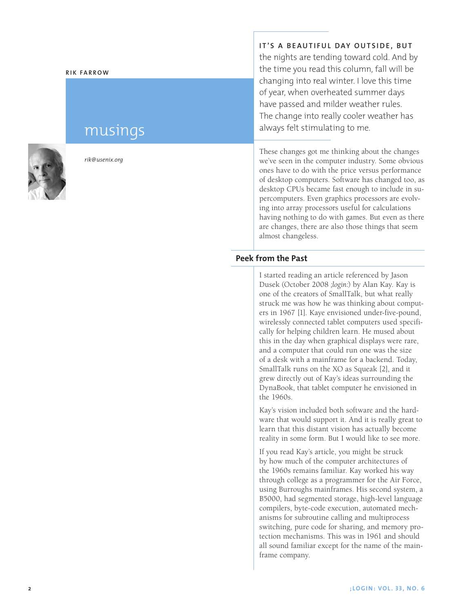#### **Rik Fa rr o w**

# musings



*rik@usenix.org*

**It's a beaut i ful day outs ide, but**

the nights are tending toward cold. And by the time you read this column, fall will be changing into real winter. I love this time of year, when overheated summer days have passed and milder weather rules. The change into really cooler weather has always felt stimulating to me.

These changes got me thinking about the changes we've seen in the computer industry. Some obvious ones have to do with the price versus performance of desktop computers. Software has changed too, as desktop CPUs became fast enough to include in su percomputers. Even graphics processors are evolv ing into array processors useful for calculations having nothing to do with games. But even as there are changes, there are also those things that seem almost changeless.

# **Peek from the Past**

I started reading an article referenced by Jason Dusek (October 2008 *;login:*) by Alan Kay. Kay is one of the creators of SmallTalk, but what really struck me was how he was thinking about comput ers in 1967 [1]. Kaye envisioned under-five-pound, wirelessly connected tablet computers used specifi cally for helping children learn. He mused about this in the day when graphical displays were rare, and a computer that could run one was the size of a desk with a mainframe for a backend. Today, SmallTalk runs on the XO as Squeak [2], and it grew directly out of Kay's ideas surrounding the DynaBook, that tablet computer he envisioned in the 1960s.

Kay's vision included both software and the hard ware that would support it. And it is really great to learn that this distant vision has actually become reality in some form. But I would like to see more.

If you read Kay's article, you might be struck by how much of the computer architectures of the 1960s remains familiar. Kay worked his way through college as a programmer for the Air Force, using Burroughs mainframes. His second system, a B5000, had segmented storage, high-level language compilers, byte-code execution, automated mech anisms for subroutine calling and multiprocess switching, pure code for sharing, and memory pro tection mechanisms. This was in 1961 and should all sound familiar except for the name of the main frame company.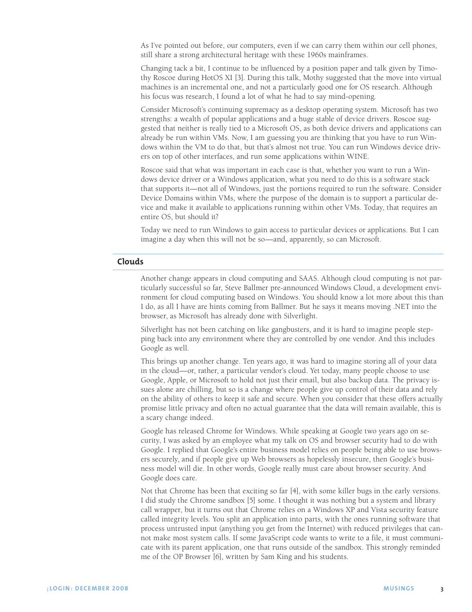As I've pointed out before, our computers, even if we can carry them within our cell phones, still share a strong architectural heritage with these 1960s mainframes.

Changing tack a bit, I continue to be influenced by a position paper and talk given by Timothy Roscoe during HotOS XI [3]. During this talk, Mothy suggested that the move into virtual machines is an incremental one, and not a particularly good one for OS research. Although his focus was research, I found a lot of what he had to say mind-opening.

Consider Microsoft's continuing supremacy as a desktop operating system. Microsoft has two strengths: a wealth of popular applications and a huge stable of device drivers. Roscoe suggested that neither is really tied to a Microsoft OS, as both device drivers and applications can already be run within VMs. Now, I am guessing you are thinking that you have to run Windows within the VM to do that, but that's almost not true. You can run Windows device drivers on top of other interfaces, and run some applications within WINE.

Roscoe said that what was important in each case is that, whether you want to run a Windows device driver or a Windows application, what you need to do this is a software stack that supports it—not all of Windows, just the portions required to run the software. Consider Device Domains within VMs, where the purpose of the domain is to support a particular device and make it available to applications running within other VMs. Today, that requires an entire OS, but should it?

Today we need to run Windows to gain access to particular devices or applications. But I can imagine a day when this will not be so—and, apparently, so can Microsoft.

# **Clouds**

Another change appears in cloud computing and SAAS. Although cloud computing is not particularly successful so far, Steve Ballmer pre-announced Windows Cloud, a development environment for cloud computing based on Windows. You should know a lot more about this than I do, as all I have are hints coming from Ballmer. But he says it means moving .NET into the browser, as Microsoft has already done with Silverlight.

Silverlight has not been catching on like gangbusters, and it is hard to imagine people stepping back into any environment where they are controlled by one vendor. And this includes Google as well.

This brings up another change. Ten years ago, it was hard to imagine storing all of your data in the cloud—or, rather, a particular vendor's cloud. Yet today, many people choose to use Google, Apple, or Microsoft to hold not just their email, but also backup data. The privacy issues alone are chilling, but so is a change where people give up control of their data and rely on the ability of others to keep it safe and secure. When you consider that these offers actually promise little privacy and often no actual guarantee that the data will remain available, this is a scary change indeed.

Google has released Chrome for Windows. While speaking at Google two years ago on security, I was asked by an employee what my talk on OS and browser security had to do with Google. I replied that Google's entire business model relies on people being able to use browsers securely, and if people give up Web browsers as hopelessly insecure, then Google's business model will die. In other words, Google really must care about browser security. And Google does care.

Not that Chrome has been that exciting so far [4], with some killer bugs in the early versions. I did study the Chrome sandbox [5] some. I thought it was nothing but a system and library call wrapper, but it turns out that Chrome relies on a Windows XP and Vista security feature called integrity levels. You split an application into parts, with the ones running software that process untrusted input (anything you get from the Internet) with reduced privileges that cannot make most system calls. If some JavaScript code wants to write to a file, it must communicate with its parent application, one that runs outside of the sandbox. This strongly reminded me of the OP Browser [6], written by Sam King and his students.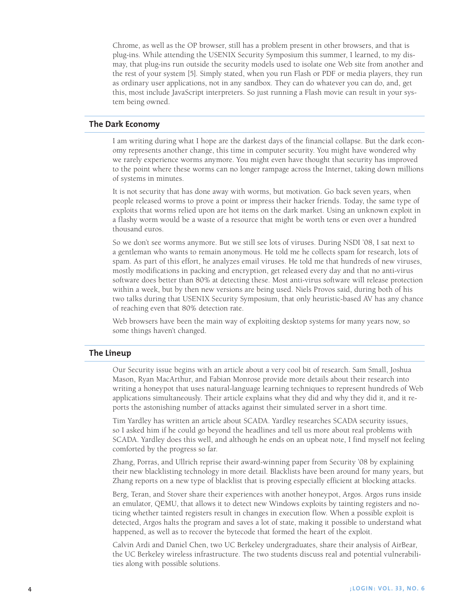Chrome, as well as the OP browser, still has a problem present in other browsers, and that is plug-ins. While attending the USENIX Security Symposium this summer, I learned, to my dismay, that plug-ins run outside the security models used to isolate one Web site from another and the rest of your system [5]. Simply stated, when you run Flash or PDF or media players, they run as ordinary user applications, not in any sandbox. They can do whatever you can do, and, get this, most include JavaScript interpreters. So just running a Flash movie can result in your system being owned.

### **The Dark Economy**

I am writing during what I hope are the darkest days of the financial collapse. But the dark economy represents another change, this time in computer security. You might have wondered why we rarely experience worms anymore. You might even have thought that security has improved to the point where these worms can no longer rampage across the Internet, taking down millions of systems in minutes.

It is not security that has done away with worms, but motivation. Go back seven years, when people released worms to prove a point or impress their hacker friends. Today, the same type of exploits that worms relied upon are hot items on the dark market. Using an unknown exploit in a flashy worm would be a waste of a resource that might be worth tens or even over a hundred thousand euros.

So we don't see worms anymore. But we still see lots of viruses. During NSDI '08, I sat next to a gentleman who wants to remain anonymous. He told me he collects spam for research, lots of spam. As part of this effort, he analyzes email viruses. He told me that hundreds of new viruses, mostly modifications in packing and encryption, get released every day and that no anti-virus software does better than 80% at detecting these. Most anti-virus software will release protection within a week, but by then new versions are being used. Niels Provos said, during both of his two talks during that USENIX Security Symposium, that only heuristic-based AV has any chance of reaching even that 80% detection rate.

Web browsers have been the main way of exploiting desktop systems for many years now, so some things haven't changed.

## **The Lineup**

Our Security issue begins with an article about a very cool bit of research. Sam Small, Joshua Mason, Ryan MacArthur, and Fabian Monrose provide more details about their research into writing a honeypot that uses natural-language learning techniques to represent hundreds of Web applications simultaneously. Their article explains what they did and why they did it, and it reports the astonishing number of attacks against their simulated server in a short time.

Tim Yardley has written an article about SCADA. Yardley researches SCADA security issues, so I asked him if he could go beyond the headlines and tell us more about real problems with SCADA. Yardley does this well, and although he ends on an upbeat note, I find myself not feeling comforted by the progress so far.

Zhang, Porras, and Ullrich reprise their award-winning paper from Security '08 by explaining their new blacklisting technology in more detail. Blacklists have been around for many years, but Zhang reports on a new type of blacklist that is proving especially efficient at blocking attacks.

Berg, Teran, and Stover share their experiences with another honeypot, Argos. Argos runs inside an emulator, QEMU, that allows it to detect new Windows exploits by tainting registers and noticing whether tainted registers result in changes in execution flow. When a possible exploit is detected, Argos halts the program and saves a lot of state, making it possible to understand what happened, as well as to recover the bytecode that formed the heart of the exploit.

Calvin Ardi and Daniel Chen, two UC Berkeley undergraduates, share their analysis of AirBear, the UC Berkeley wireless infrastructure. The two students discuss real and potential vulnerabilities along with possible solutions.